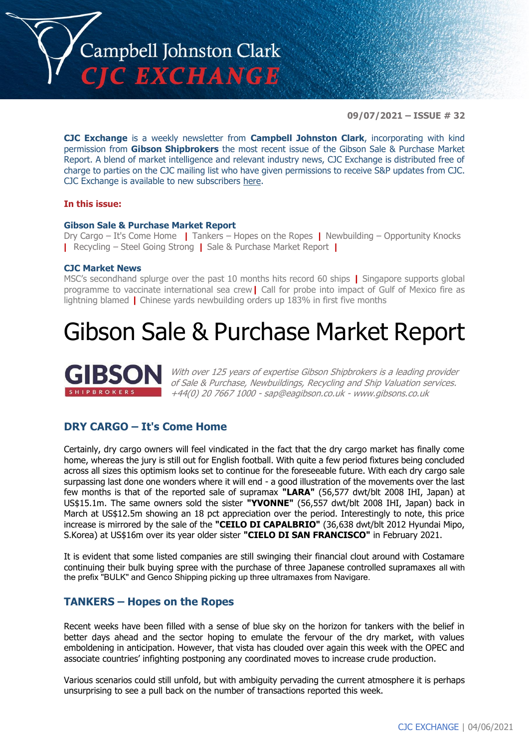

**09/07/2021 – ISSUE # 32**

**CJC Exchange** is a weekly newsletter from **Campbell Johnston Clark**, incorporating with kind permission from **Gibson Shipbrokers** the most recent issue of the Gibson Sale & Purchase Market Report. A blend of market intelligence and relevant industry news, CJC Exchange is distributed free of charge to parties on the CJC mailing list who have given permissions to receive S&P updates from CJC. CJC Exchange is available to new subscribers [here.](mailto:jamesc@cjclaw.com?subject=CJC%20Exchange%20sign-up)

### **In this issue:**

### **Gibson Sale & Purchase Market Report**

Dry Cargo – It's Come Home **|** Tankers – Hopes on the Ropes **|** Newbuilding – Opportunity Knocks **|** Recycling – Steel Going Strong **|** Sale & Purchase Market Report **|**

### **CJC Market News**

MSC's secondhand splurge over the past 10 months hits record 60 ships **|** Singapore supports global programme to vaccinate international sea crew**|** Call for probe into impact of Gulf of Mexico fire as lightning blamed **|** Chinese yards newbuilding orders up 183% in first five months

### Gibson Sale & Purchase Market Report



With over 125 years of expertise Gibson Shipbrokers is a leading provider of Sale & Purchase, Newbuildings, Recycling and Ship Valuation services. +44(0) 20 7667 1000 - [sap@eagibson.co.uk](mailto:sap@eagibson.co.uk) - [www.gibsons.co.uk](https://protect-eu.mimecast.com/s/VO6nCGZzRS60KqcK1jQh/)

### **DRY CARGO – It's Come Home**

Certainly, dry cargo owners will feel vindicated in the fact that the dry cargo market has finally come home, whereas the jury is still out for English football. With quite a few period fixtures being concluded across all sizes this optimism looks set to continue for the foreseeable future. With each dry cargo sale surpassing last done one wonders where it will end - a good illustration of the movements over the last few months is that of the reported sale of supramax **"LARA"** (56,577 dwt/blt 2008 IHI, Japan) at US\$15.1m. The same owners sold the sister **"YVONNE"** (56,557 dwt/blt 2008 IHI, Japan) back in March at US\$12.5m showing an 18 pct appreciation over the period. Interestingly to note, this price increase is mirrored by the sale of the **"CEILO DI CAPALBRIO"** (36,638 dwt/blt 2012 Hyundai Mipo, S.Korea) at US\$16m over its year older sister **"CIELO DI SAN FRANCISCO"** in February 2021.

It is evident that some listed companies are still swinging their financial clout around with Costamare continuing their bulk buying spree with the purchase of three Japanese controlled supramaxes all with the prefix "BULK" and Genco Shipping picking up three ultramaxes from Navigare.

### **TANKERS – Hopes on the Ropes**

Recent weeks have been filled with a sense of blue sky on the horizon for tankers with the belief in better days ahead and the sector hoping to emulate the fervour of the dry market, with values emboldening in anticipation. However, that vista has clouded over again this week with the OPEC and associate countries' infighting postponing any coordinated moves to increase crude production.

Various scenarios could still unfold, but with ambiguity pervading the current atmosphere it is perhaps unsurprising to see a pull back on the number of transactions reported this week.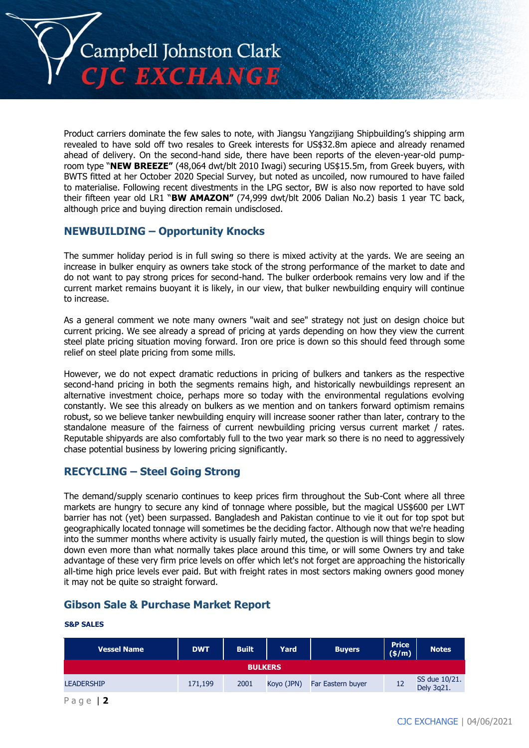

Product carriers dominate the few sales to note, with Jiangsu Yangzijiang Shipbuilding's shipping arm revealed to have sold off two resales to Greek interests for US\$32.8m apiece and already renamed ahead of delivery. On the second-hand side, there have been reports of the eleven-year-old pumproom type "**NEW BREEZE"** (48,064 dwt/blt 2010 Iwagi) securing US\$15.5m, from Greek buyers, with BWTS fitted at her October 2020 Special Survey, but noted as uncoiled, now rumoured to have failed to materialise. Following recent divestments in the LPG sector, BW is also now reported to have sold their fifteen year old LR1 "**BW AMAZON"** (74,999 dwt/blt 2006 Dalian No.2) basis 1 year TC back, although price and buying direction remain undisclosed.

### **NEWBUILDING – Opportunity Knocks**

The summer holiday period is in full swing so there is mixed activity at the yards. We are seeing an increase in bulker enquiry as owners take stock of the strong performance of the market to date and do not want to pay strong prices for second-hand. The bulker orderbook remains very low and if the current market remains buoyant it is likely, in our view, that bulker newbuilding enquiry will continue to increase.

As a general comment we note many owners "wait and see" strategy not just on design choice but current pricing. We see already a spread of pricing at yards depending on how they view the current steel plate pricing situation moving forward. Iron ore price is down so this should feed through some relief on steel plate pricing from some mills.

However, we do not expect dramatic reductions in pricing of bulkers and tankers as the respective second-hand pricing in both the segments remains high, and historically newbuildings represent an alternative investment choice, perhaps more so today with the environmental regulations evolving constantly. We see this already on bulkers as we mention and on tankers forward optimism remains robust, so we believe tanker newbuilding enquiry will increase sooner rather than later, contrary to the standalone measure of the fairness of current newbuilding pricing versus current market / rates. Reputable shipyards are also comfortably full to the two year mark so there is no need to aggressively chase potential business by lowering pricing significantly.

### **RECYCLING – Steel Going Strong**

The demand/supply scenario continues to keep prices firm throughout the Sub-Cont where all three markets are hungry to secure any kind of tonnage where possible, but the magical US\$600 per LWT barrier has not (yet) been surpassed. Bangladesh and Pakistan continue to vie it out for top spot but geographically located tonnage will sometimes be the deciding factor. Although now that we're heading into the summer months where activity is usually fairly muted, the question is will things begin to slow down even more than what normally takes place around this time, or will some Owners try and take advantage of these very firm price levels on offer which let's not forget are approaching the historically all-time high price levels ever paid. But with freight rates in most sectors making owners good money it may not be quite so straight forward.

### **Gibson Sale & Purchase Market Report**

### **S&P SALES**

| <b>Vessel Name</b> | <b>DWT</b> | <b>Built</b> | Yard       | <b>Buyers</b>     | Price<br>(\$/m) | <b>Notes</b>                |  |
|--------------------|------------|--------------|------------|-------------------|-----------------|-----------------------------|--|
| <b>BULKERS</b>     |            |              |            |                   |                 |                             |  |
| <b>LEADERSHIP</b>  | 171.199    | 2001         | Koyo (JPN) | Far Eastern buyer | 12              | SS due 10/21.<br>Dely 3q21. |  |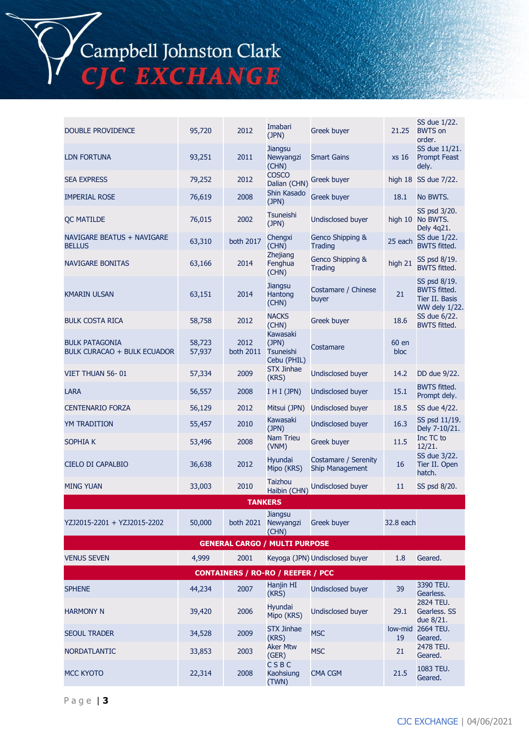# Campbell Johnston Clark<br>CJC EXCHANGE

| <b>DOUBLE PROVIDENCE</b>                                    | 95,720           | 2012              | Imabari<br>(JPN)                              | <b>Greek buyer</b>                      | 21.25         | SS due 1/22.<br><b>BWTS</b> on<br>order.                               |
|-------------------------------------------------------------|------------------|-------------------|-----------------------------------------------|-----------------------------------------|---------------|------------------------------------------------------------------------|
| <b>LDN FORTUNA</b>                                          | 93,251           | 2011              | <b>Jiangsu</b><br>Newyangzi<br>(CHN)          | <b>Smart Gains</b>                      | xs 16         | SS due 11/21.<br><b>Prompt Feast</b><br>dely.                          |
| <b>SEA EXPRESS</b>                                          | 79,252           | 2012              | <b>COSCO</b><br>Dalian (CHN)                  | <b>Greek buyer</b>                      |               | high 18 SS due 7/22.                                                   |
| <b>IMPERIAL ROSE</b>                                        | 76,619           | 2008              | Shin Kasado<br>(JPN)                          | <b>Greek buyer</b>                      | 18.1          | No BWTS.                                                               |
| <b>QC MATILDE</b>                                           | 76,015           | 2002              | Tsuneishi<br>(JPN)                            | Undisclosed buyer                       |               | SS psd 3/20.<br>high 10 No BWTS.<br>Dely 4q21.                         |
| NAVIGARE BEATUS + NAVIGARE<br><b>BELLUS</b>                 | 63,310           | both 2017         | Chengxi<br>(CHN)                              | Genco Shipping &<br><b>Trading</b>      | 25 each       | SS due 1/22.<br><b>BWTS fitted.</b>                                    |
| <b>NAVIGARE BONITAS</b>                                     | 63,166           | 2014              | Zhejiang<br>Fenghua<br>(CHN)                  | Genco Shipping &<br><b>Trading</b>      | high 21       | SS psd 8/19.<br><b>BWTS fitted.</b>                                    |
| <b>KMARIN ULSAN</b>                                         | 63,151           | 2014              | <b>Jiangsu</b><br>Hantong<br>(CHN)            | Costamare / Chinese<br>buyer            | 21            | SS psd 8/19.<br><b>BWTS fitted.</b><br>Tier II. Basis<br>WW dely 1/22. |
| <b>BULK COSTA RICA</b>                                      | 58,758           | 2012              | <b>NACKS</b><br>(CHN)                         | <b>Greek buyer</b>                      | 18.6          | SS due 6/22.<br><b>BWTS fitted.</b>                                    |
| <b>BULK PATAGONIA</b><br><b>BULK CURACAO + BULK ECUADOR</b> | 58,723<br>57,937 | 2012<br>both 2011 | Kawasaki<br>(JPN)<br>Tsuneishi<br>Cebu (PHIL) | Costamare                               | 60 en<br>bloc |                                                                        |
| VIET THUAN 56-01                                            | 57,334           | 2009              | <b>STX Jinhae</b><br>(KRS)                    | <b>Undisclosed buyer</b>                | 14.2          | DD due 9/22.                                                           |
| LARA                                                        | 56,557           | 2008              | I H I (JPN)                                   | <b>Undisclosed buyer</b>                | 15.1          | <b>BWTS fitted.</b><br>Prompt dely.                                    |
| <b>CENTENARIO FORZA</b>                                     | 56,129           | 2012              | Mitsui (JPN)                                  | <b>Undisclosed buyer</b>                | 18.5          | SS due 4/22.                                                           |
| YM TRADITION                                                | 55,457           | 2010              | Kawasaki<br>(JPN)                             | <b>Undisclosed buyer</b>                | 16.3          | SS psd 11/19.<br>Dely 7-10/21.                                         |
| SOPHIA K                                                    | 53,496           | 2008              | <b>Nam Trieu</b><br>(VNM)                     | Greek buyer                             | 11.5          | Inc TC to<br>12/21.                                                    |
| CIELO DI CAPALBIO                                           | 36,638           | 2012              | Hyundai<br>Mipo (KRS)                         | Costamare / Serenity<br>Ship Management | 16            | SS due 3/22.<br>Tier II. Open<br>hatch.                                |
| <b>MING YUAN</b>                                            | 33,003           | 2010              | Taizhou<br>Haibin (CHN)                       | Undisclosed buyer                       | 11            | SS psd 8/20.                                                           |
|                                                             |                  | <b>TANKERS</b>    |                                               |                                         |               |                                                                        |
| YZJ2015-2201 + YZJ2015-2202                                 | 50,000           |                   | Jiangsu<br>both 2021 Newyangzi<br>(CHN)       | <b>Greek buyer</b>                      | 32.8 each     |                                                                        |
|                                                             |                  |                   | <b>GENERAL CARGO / MULTI PURPOSE</b>          |                                         |               |                                                                        |
| <b>VENUS SEVEN</b>                                          | 4,999            | 2001              |                                               | Keyoga (JPN) Undisclosed buyer          | 1.8           | Geared.                                                                |
|                                                             |                  |                   | <b>CONTAINERS / RO-RO / REEFER / PCC</b>      |                                         |               |                                                                        |
| <b>SPHENE</b>                                               | 44,234           | 2007              | Hanjin HI<br>(KRS)                            | <b>Undisclosed buyer</b>                | 39            | 3390 TEU.<br>Gearless.                                                 |
| <b>HARMONY N</b>                                            | 39,420           | 2006              | Hyundai<br>Mipo (KRS)                         | <b>Undisclosed buyer</b>                | 29.1          | 2824 TEU.<br>Gearless. SS<br>due 8/21.                                 |
| <b>SEOUL TRADER</b>                                         | 34,528           | 2009              | <b>STX Jinhae</b><br>(KRS)                    | <b>MSC</b>                              | 19            | low-mid 2664 TEU.<br>Geared.                                           |
| <b>NORDATLANTIC</b>                                         | 33,853           | 2003              | <b>Aker Mtw</b><br>(GER)                      | <b>MSC</b>                              | 21            | 2478 TEU.<br>Geared.                                                   |
| <b>MCC KYOTO</b>                                            | 22,314           | 2008              | <b>CSBC</b><br>Kaohsiung<br>(TWN)             | <b>CMA CGM</b>                          | 21.5          | 1083 TEU.<br>Geared.                                                   |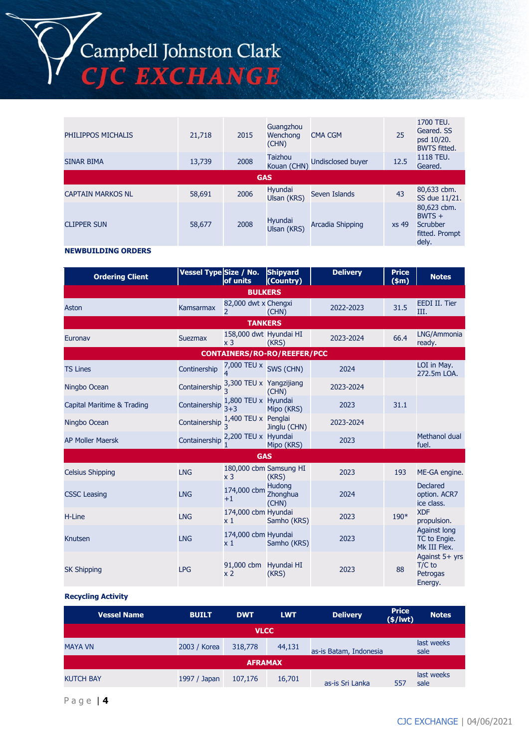# Campbell Johnston Clark<br>CJC EXCHANGE

| PHILIPPOS MICHALIS        | 21,718 | 2015 | Guangzhou<br>Wenchong<br>(CHN) | <b>CMA CGM</b>    | 25    | 1700 TEU.<br>Geared, SS<br>psd 10/20.<br><b>BWTS fitted.</b>   |  |
|---------------------------|--------|------|--------------------------------|-------------------|-------|----------------------------------------------------------------|--|
| <b>SINAR BIMA</b>         | 13,739 | 2008 | <b>Taizhou</b><br>Kouan (CHN)  | Undisclosed buyer | 12.5  | 1118 TEU.<br>Geared.                                           |  |
| <b>GAS</b>                |        |      |                                |                   |       |                                                                |  |
| <b>CAPTAIN MARKOS NL</b>  | 58,691 | 2006 | Hyundai<br>Ulsan (KRS)         | Seven Islands     | 43    | 80,633 cbm.<br>SS due 11/21.                                   |  |
| <b>CLIPPER SUN</b>        | 58,677 | 2008 | Hyundai<br>Ulsan (KRS)         | Arcadia Shipping  | xs 49 | 80,623 cbm.<br>$BWTS +$<br>Scrubber<br>fitted. Prompt<br>dely. |  |
| <b>NEWBUILDING ORDERS</b> |        |      |                                |                   |       |                                                                |  |

| <b>Ordering Client</b>             | Vessel Type Size / No.                            | of units                                         | <b>Shipyard</b><br>(Country)       | <b>Delivery</b> | <b>Price</b><br>$(\$m)$ | <b>Notes</b>                                        |  |
|------------------------------------|---------------------------------------------------|--------------------------------------------------|------------------------------------|-----------------|-------------------------|-----------------------------------------------------|--|
|                                    |                                                   | <b>BULKERS</b>                                   |                                    |                 |                         |                                                     |  |
| Aston                              | Kamsarmax                                         | 82,000 dwt x Chengxi<br>$\overline{\phantom{0}}$ | (CHN)                              | 2022-2023       | 31.5                    | EEDI II. Tier<br>III.                               |  |
|                                    |                                                   | <b>TANKERS</b>                                   |                                    |                 |                         |                                                     |  |
| Euronav                            | <b>Suezmax</b>                                    | 158,000 dwt Hyundai HI<br>x <sub>3</sub>         | (KRS)                              | 2023-2024       | 66.4                    | LNG/Ammonia<br>ready.                               |  |
| <b>CONTAINERS/RO-RO/REEFER/PCC</b> |                                                   |                                                  |                                    |                 |                         |                                                     |  |
| <b>TS Lines</b>                    | Continership                                      | 7,000 TEU x SWS (CHN)<br>4                       |                                    | 2024            |                         | LOI in May.<br>272.5m LOA.                          |  |
| Ningbo Ocean                       | Containership $\frac{3,300}{2}$ TEU x Yangzijiang |                                                  | (CHN)                              | 2023-2024       |                         |                                                     |  |
| Capital Maritime & Trading         | Containership                                     | 1,800 TEU x Hyundai<br>$3 + 3$                   | Mipo (KRS)                         | 2023            | 31.1                    |                                                     |  |
| Ningbo Ocean                       | Containership $\frac{1}{3}$                       | 1,400 TEU x Penglai                              | Jinglu (CHN)                       | 2023-2024       |                         |                                                     |  |
| <b>AP Moller Maersk</b>            | Containership                                     | 2,200 TEU x Hyundai                              | Mipo (KRS)                         | 2023            |                         | Methanol dual<br>fuel.                              |  |
|                                    |                                                   | <b>GAS</b>                                       |                                    |                 |                         |                                                     |  |
| <b>Celsius Shipping</b>            | <b>LNG</b>                                        | 180,000 cbm Samsung HI<br>x <sub>3</sub>         | (KRS)                              | 2023            | 193                     | ME-GA engine.                                       |  |
| <b>CSSC Leasing</b>                | <b>LNG</b>                                        | 174,000 cbm<br>$+1$                              | <b>Hudong</b><br>Zhonghua<br>(CHN) | 2024            |                         | <b>Declared</b><br>option. ACR7<br>ice class.       |  |
| H-Line                             | <b>LNG</b>                                        | 174,000 cbm Hyundai<br>$\times 1$                | Samho (KRS)                        | 2023            | $190*$                  | <b>XDF</b><br>propulsion.                           |  |
| Knutsen                            | <b>LNG</b>                                        | 174,000 cbm Hyundai<br>$\times 1$                | Samho (KRS)                        | 2023            |                         | <b>Against long</b><br>TC to Engie.<br>Mk III Flex. |  |
| <b>SK Shipping</b>                 | <b>LPG</b>                                        | 91,000 cbm Hyundai HI<br>x <sub>2</sub>          | (KRS)                              | 2023            | 88                      | Against 5+ yrs<br>$T/C$ to<br>Petrogas<br>Energy.   |  |

### **Recycling Activity**

| Vessel Name      | <b>BUILT</b> | <b>DWT</b> | <b>LWT</b> | <b>Delivery</b>        | <b>Price</b><br>$(*)$ lwt) | <b>Notes</b>       |  |
|------------------|--------------|------------|------------|------------------------|----------------------------|--------------------|--|
| <b>VLCC</b>      |              |            |            |                        |                            |                    |  |
| <b>MAYA VN</b>   | 2003 / Korea | 318,778    | 44,131     | as-is Batam, Indonesia |                            | last weeks<br>sale |  |
| <b>AFRAMAX</b>   |              |            |            |                        |                            |                    |  |
| <b>KUTCH BAY</b> | 1997 / Japan | 107,176    | 16,701     | as-is Sri Lanka        | 557                        | last weeks<br>sale |  |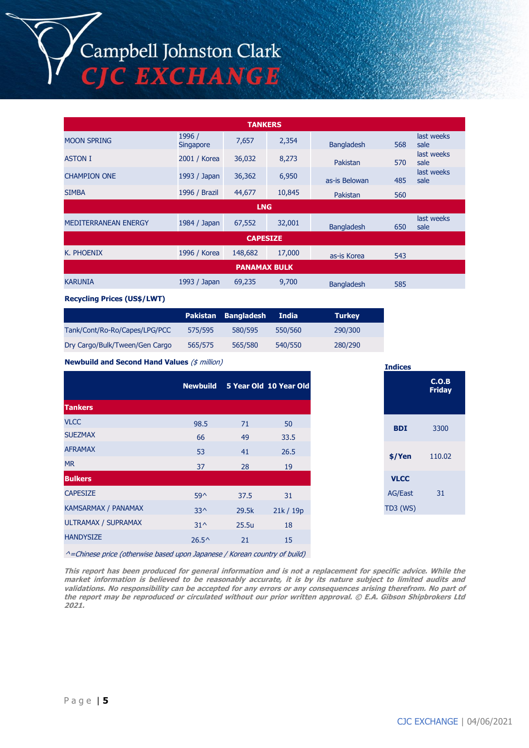## Campbell Johnston Clark<br>CJC EXCHANGE

| <b>TANKERS</b>              |                            |            |        |                   |     |                    |  |
|-----------------------------|----------------------------|------------|--------|-------------------|-----|--------------------|--|
| <b>MOON SPRING</b>          | 1996 /<br><b>Singapore</b> | 7,657      | 2,354  | <b>Bangladesh</b> | 568 | last weeks<br>sale |  |
| <b>ASTON I</b>              | 2001 / Korea               | 36,032     | 8,273  | Pakistan          | 570 | last weeks<br>sale |  |
| <b>CHAMPION ONE</b>         | 1993 / Japan               | 36,362     | 6,950  | as-is Belowan     | 485 | last weeks<br>sale |  |
| <b>SIMBA</b>                | 1996 / Brazil              | 44,677     | 10,845 | Pakistan          | 560 |                    |  |
|                             |                            | <b>LNG</b> |        |                   |     |                    |  |
| <b>MEDITERRANEAN ENERGY</b> | 1984 / Japan               | 67,552     | 32,001 | <b>Bangladesh</b> | 650 | last weeks<br>sale |  |
| <b>CAPESIZE</b>             |                            |            |        |                   |     |                    |  |
| K. PHOENIX                  | 1996 / Korea               | 148,682    | 17,000 | as-is Korea       | 543 |                    |  |
| <b>PANAMAX BULK</b>         |                            |            |        |                   |     |                    |  |
| <b>KARUNIA</b>              | 1993 / Japan               | 69,235     | 9,700  | <b>Bangladesh</b> | 585 |                    |  |

#### **Recycling Prices (US\$/LWT)**

|                                |         | Pakistan Bangladesh | <b>India</b> | <b>Turkey</b> |
|--------------------------------|---------|---------------------|--------------|---------------|
| Tank/Cont/Ro-Ro/Capes/LPG/PCC  | 575/595 | 580/595             | 550/560      | 290/300       |
| Dry Cargo/Bulk/Tween/Gen Cargo | 565/575 | 565/580             | 540/550      | 280/290       |

**Newbuild and Second Hand Values** (\$ million)

|                            |                |       | Newbuild 5 Year Old 10 Year Old |
|----------------------------|----------------|-------|---------------------------------|
| <b>Tankers</b>             |                |       |                                 |
| <b>VLCC</b>                | 98.5           | 71    | 50                              |
| <b>SUEZMAX</b>             | 66             | 49    | 33.5                            |
| <b>AFRAMAX</b>             | 53             | 41    | 26.5                            |
| <b>MR</b>                  | 37             | 28    | 19                              |
| <b>Bulkers</b>             |                |       |                                 |
| <b>CAPESIZE</b>            | $59^{\circ}$   | 37.5  | 31                              |
| KAMSARMAX / PANAMAX        | $33^{\wedge}$  | 29.5k | 21k / 19p                       |
| <b>ULTRAMAX / SUPRAMAX</b> | $31^{\wedge}$  | 25.5u | 18                              |
| <b>HANDYSIZE</b>           | $26.5^{\circ}$ | 21    | 15                              |
|                            |                |       |                                 |

| <b>Indices</b> |                        |
|----------------|------------------------|
|                | C.O.B<br><b>Friday</b> |
| <b>BDI</b>     | 3300                   |
| \$/Yen         | 110.02                 |
| <b>VLCC</b>    |                        |
| <b>AG/East</b> | 31                     |
| TD3 (WS)       |                        |

^=Chinese price (otherwise based upon Japanese / Korean country of build)

**This report has been produced for general information and is not a replacement for specific advice. While the market information is believed to be reasonably accurate, it is by its nature subject to limited audits and validations. No responsibility can be accepted for any errors or any consequences arising therefrom. No part of the report may be reproduced or circulated without our prior written approval. © E.A. Gibson Shipbrokers Ltd 2021.**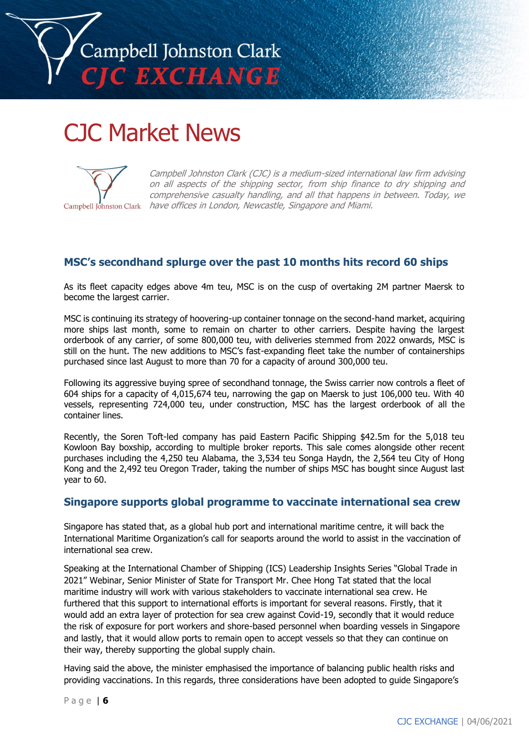

### CJC Market News



Campbell Johnston Clark (CJC) is a medium-sized international law firm advising on all aspects of the shipping sector, from ship finance to dry shipping and comprehensive casualty handling, and all that happens in between. Today, we Campbell Johnston Clark have offices in London, Newcastle, Singapore and Miami.

### **MSC's secondhand splurge over the past 10 months hits record 60 ships**

As its fleet capacity edges above 4m teu, MSC is on the cusp of overtaking 2M partner Maersk to become the largest carrier.

MSC is continuing its strategy of hoovering-up container tonnage on the second-hand market, acquiring more ships last month, some to remain on charter to other carriers. Despite having the largest orderbook of any carrier, of some 800,000 teu, with deliveries stemmed from 2022 onwards, MSC is still on the hunt. The new additions to MSC's fast-expanding fleet take the number of containerships purchased since last August to more than 70 for a capacity of around 300,000 teu.

Following its aggressive buying spree of secondhand tonnage, the Swiss carrier now controls a fleet of 604 ships for a capacity of 4,015,674 teu, narrowing the gap on Maersk to just 106,000 teu. With 40 vessels, representing 724,000 teu, under construction, MSC has the largest orderbook of all the container lines.

Recently, the Soren Toft-led company has paid Eastern Pacific Shipping \$42.5m for the 5,018 teu Kowloon Bay boxship, according to multiple broker reports. This sale comes alongside other recent purchases including the 4,250 teu Alabama, the 3,534 teu Songa Haydn, the 2,564 teu City of Hong Kong and the 2,492 teu Oregon Trader, taking the number of ships MSC has bought since August last year to 60.

### **Singapore supports global programme to vaccinate international sea crew**

Singapore has stated that, as a global hub port and international maritime centre, it will back the International Maritime Organization's call for seaports around the world to assist in the vaccination of international sea crew.

Speaking at the International Chamber of Shipping (ICS) Leadership Insights Series "Global Trade in 2021" Webinar, Senior Minister of State for Transport Mr. Chee Hong Tat stated that the local maritime industry will work with various stakeholders to vaccinate international sea crew. He furthered that this support to international efforts is important for several reasons. Firstly, that it would add an extra layer of protection for sea crew against Covid-19, secondly that it would reduce the risk of exposure for port workers and shore-based personnel when boarding vessels in Singapore and lastly, that it would allow ports to remain open to accept vessels so that they can continue on their way, thereby supporting the global supply chain.

Having said the above, the minister emphasised the importance of balancing public health risks and providing vaccinations. In this regards, three considerations have been adopted to guide Singapore's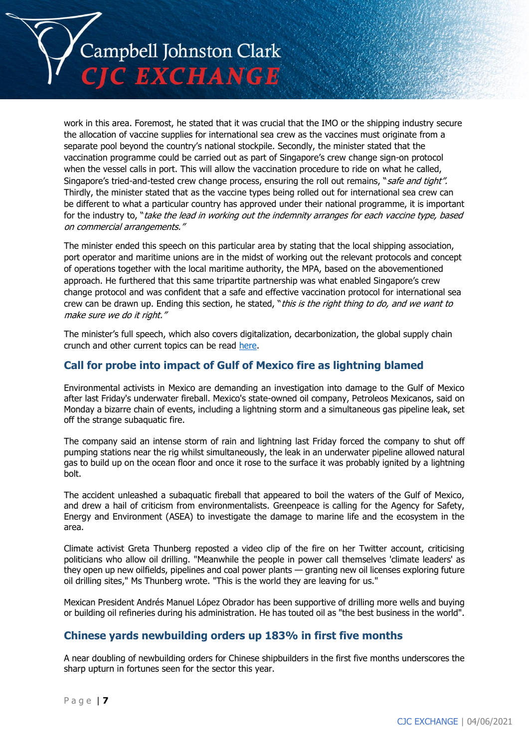

work in this area. Foremost, he stated that it was crucial that the IMO or the shipping industry secure the allocation of vaccine supplies for international sea crew as the vaccines must originate from a separate pool beyond the country's national stockpile. Secondly, the minister stated that the vaccination programme could be carried out as part of Singapore's crew change sign-on protocol when the vessel calls in port. This will allow the vaccination procedure to ride on what he called, Singapore's tried-and-tested crew change process, ensuring the roll out remains, "safe and tight". Thirdly, the minister stated that as the vaccine types being rolled out for international sea crew can be different to what a particular country has approved under their national programme, it is important for the industry to, "take the lead in working out the indemnity arranges for each vaccine type, based on commercial arrangements."

The minister ended this speech on this particular area by stating that the local shipping association, port operator and maritime unions are in the midst of working out the relevant protocols and concept of operations together with the local maritime authority, the MPA, based on the abovementioned approach. He furthered that this same tripartite partnership was what enabled Singapore's crew change protocol and was confident that a safe and effective vaccination protocol for international sea crew can be drawn up. Ending this section, he stated, "this is the right thing to do, and we want to make sure we do it right."

The minister's full speech, which also covers digitalization, decarbonization, the global supply chain crunch and other current topics can be read [here.](https://www.mot.gov.sg/news-centre/news/Detail/opening-speech-by-senior-minister-of-state-for-transport-mr-chee-hong-tat-at-the-international-chamber-of-shipping-(ics)-leadership-insights-series-global-trade-in-2021-webinar)

### **Call for probe into impact of Gulf of Mexico fire as lightning blamed**

Environmental activists in Mexico are demanding an investigation into damage to the Gulf of Mexico after last Friday's underwater fireball. Mexico's state-owned oil company, Petroleos Mexicanos, said on Monday a bizarre chain of events, including a lightning storm and a simultaneous gas pipeline leak, set off the strange subaquatic fire.

The company said an intense storm of rain and lightning last Friday forced the company to shut off pumping stations near the rig whilst simultaneously, the leak in an underwater pipeline allowed natural gas to build up on the ocean floor and once it rose to the surface it was probably ignited by a lightning bolt.

The accident unleashed a subaquatic fireball that appeared to boil the waters of the Gulf of Mexico, and drew a hail of criticism from environmentalists. Greenpeace is calling for the Agency for Safety, Energy and Environment (ASEA) to investigate the damage to marine life and the ecosystem in the area.

Climate activist Greta Thunberg reposted a video clip of the fire on her Twitter account, criticising politicians who allow oil drilling. "Meanwhile the people in power call themselves 'climate leaders' as they open up new oilfields, pipelines and coal power plants — granting new oil licenses exploring future oil drilling sites," Ms Thunberg wrote. "This is the world they are leaving for us."

Mexican President Andrés Manuel López Obrador has been supportive of drilling more wells and buying or building oil refineries during his administration. He has touted oil as "the best business in the world".

### **Chinese yards newbuilding orders up 183% in first five months**

A near doubling of newbuilding orders for Chinese shipbuilders in the first five months underscores the sharp upturn in fortunes seen for the sector this year.